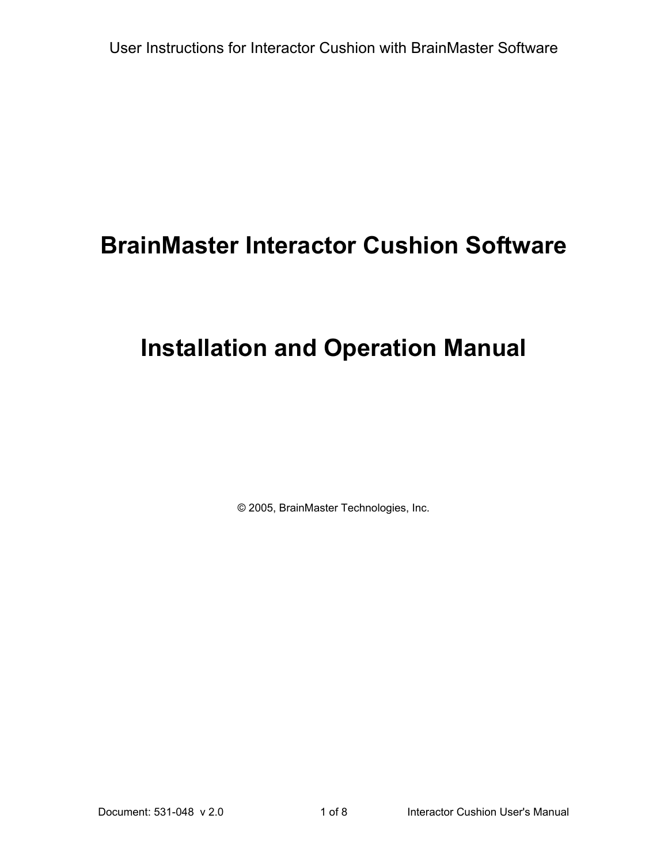# **BrainMaster Interactor Cushion Software**

# **Installation and Operation Manual**

© 2005, BrainMaster Technologies, Inc.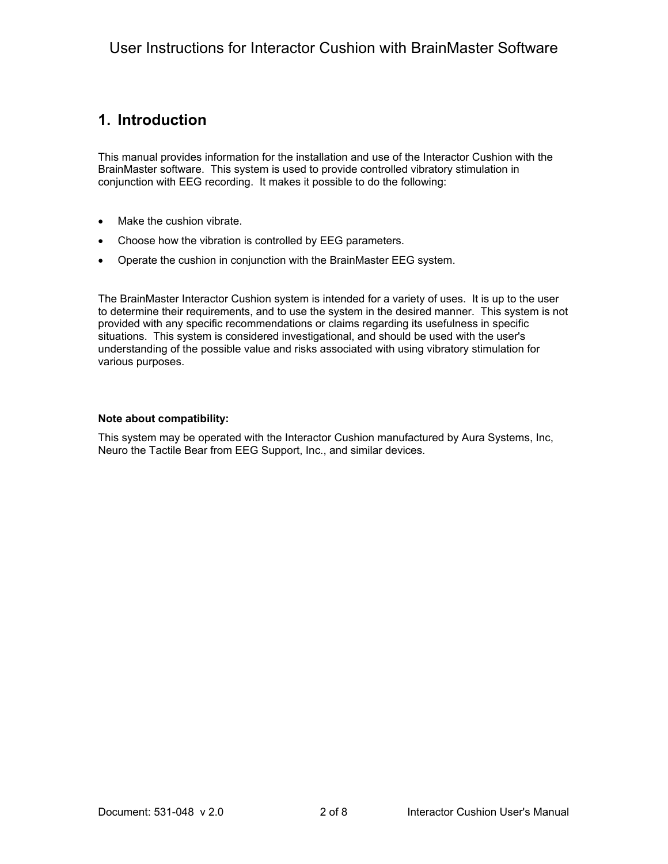# **1. Introduction**

This manual provides information for the installation and use of the Interactor Cushion with the BrainMaster software. This system is used to provide controlled vibratory stimulation in conjunction with EEG recording. It makes it possible to do the following:

- Make the cushion vibrate.
- Choose how the vibration is controlled by EEG parameters.
- Operate the cushion in conjunction with the BrainMaster EEG system.

The BrainMaster Interactor Cushion system is intended for a variety of uses. It is up to the user to determine their requirements, and to use the system in the desired manner. This system is not provided with any specific recommendations or claims regarding its usefulness in specific situations. This system is considered investigational, and should be used with the user's understanding of the possible value and risks associated with using vibratory stimulation for various purposes.

#### **Note about compatibility:**

This system may be operated with the Interactor Cushion manufactured by Aura Systems, Inc, Neuro the Tactile Bear from EEG Support, Inc., and similar devices.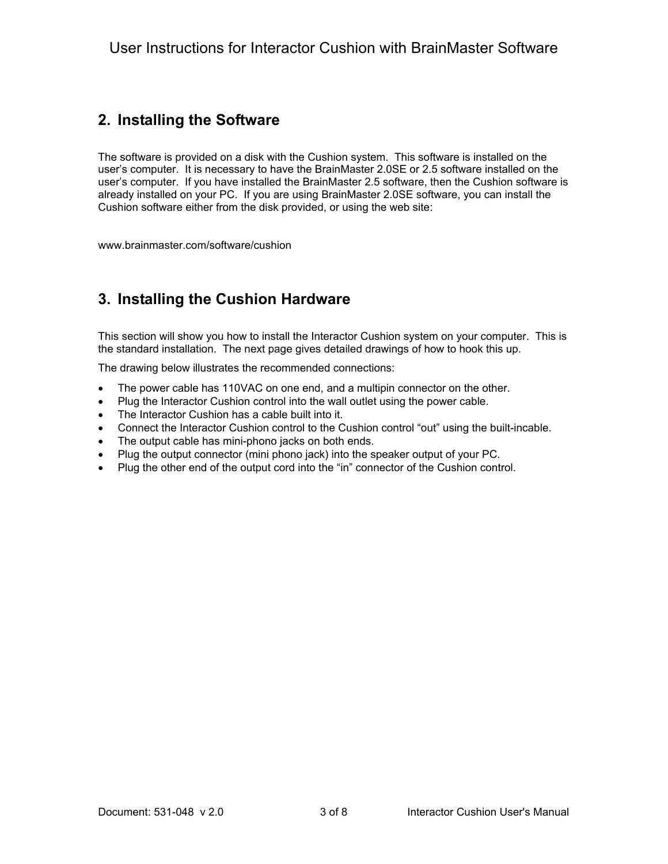# **2. Installing the Software**

The software is provided on a disk with the Cushion system. This software is installed on the user's computer. It is necessary to have the BrainMaster 2.0SE or 2.5 software installed on the user's computer. If you have installed the BrainMaster 2.5 software, then the Cushion software is already installed on your PC. If you are using BrainMaster 2.0SE software, you can install the Cushion software either from the disk provided, or using the web site:

www.brainmaster.com/software/cushion

# **3. Installing the Cushion Hardware**

This section will show you how to install the Interactor Cushion system on your computer. This is the standard installation. The next page gives detailed drawings of how to hook this up.

The drawing below illustrates the recommended connections:

- The power cable has 110VAC on one end, and a multipin connector on the other.
- Plug the Interactor Cushion control into the wall outlet using the power cable.
- The Interactor Cushion has a cable built into it.
- Connect the Interactor Cushion control to the Cushion control "out" using the built-incable.
- The output cable has mini-phono jacks on both ends.
- Plug the output connector (mini phono jack) into the speaker output of your PC.
- Plug the other end of the output cord into the "in" connector of the Cushion control.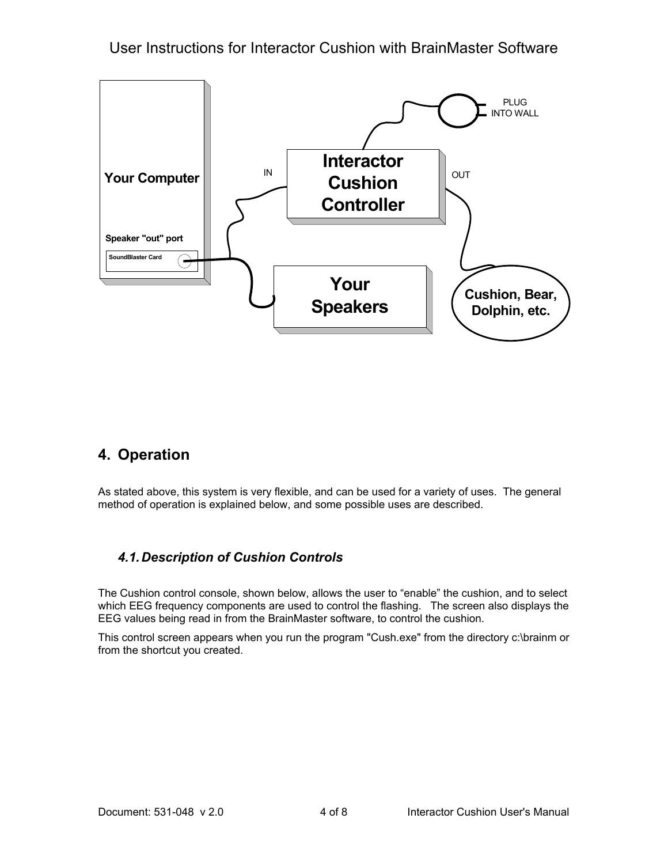

# **4. Operation**

As stated above, this system is very flexible, and can be used for a variety of uses. The general method of operation is explained below, and some possible uses are described.

## *4.1. Description of Cushion Controls*

The Cushion control console, shown below, allows the user to "enable" the cushion, and to select which EEG frequency components are used to control the flashing. The screen also displays the EEG values being read in from the BrainMaster software, to control the cushion.

This control screen appears when you run the program "Cush.exe" from the directory c:\brainm or from the shortcut you created.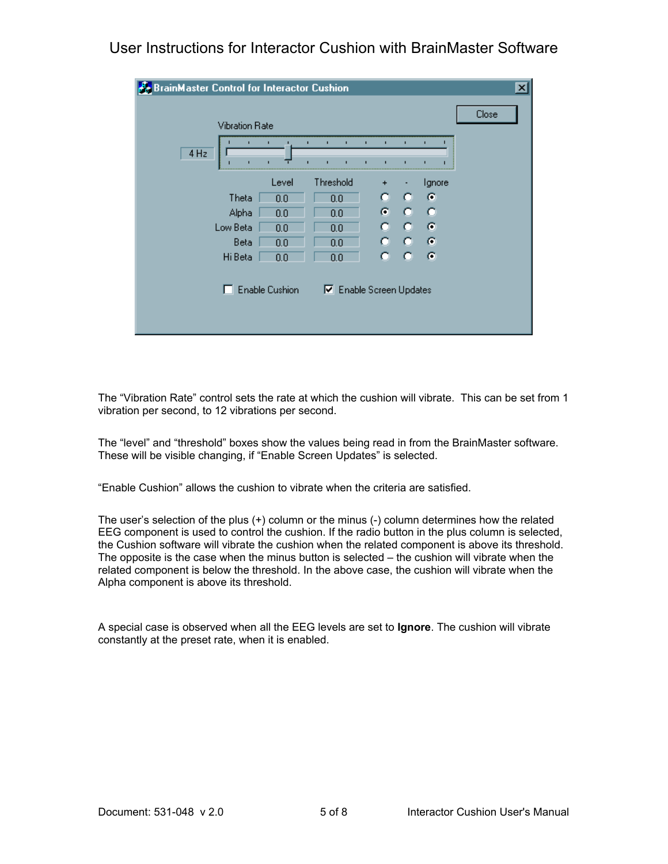| <b>BrainMaster Control for Interactor Cushion</b><br>x  |                       |       |           |  |    |   |        |       |  |
|---------------------------------------------------------|-----------------------|-------|-----------|--|----|---|--------|-------|--|
|                                                         | <b>Vibration Rate</b> |       |           |  |    |   |        | Close |  |
| $4$ Hz                                                  |                       |       | п         |  |    | п | п      |       |  |
|                                                         |                       | Level | Threshold |  |    |   | Ignore |       |  |
|                                                         | Theta                 | 0.0   | 0.0       |  | o  | o | ø      |       |  |
|                                                         | Alpha                 | 0.0   | 0.0       |  | ø  | o | o      |       |  |
|                                                         | Low Beta              | 0.0   | 0.0       |  | o. | o | ø      |       |  |
|                                                         | Beta                  | 0.0   | 0.0       |  | o. | o | ø      |       |  |
|                                                         | Hi Beta               | 0.0   | 0.0       |  | o  | o | ø      |       |  |
| <b>Enable Cushion</b><br><b>▽</b> Enable Screen Updates |                       |       |           |  |    |   |        |       |  |

The "Vibration Rate" control sets the rate at which the cushion will vibrate. This can be set from 1 vibration per second, to 12 vibrations per second.

The "level" and "threshold" boxes show the values being read in from the BrainMaster software. These will be visible changing, if "Enable Screen Updates" is selected.

"Enable Cushion" allows the cushion to vibrate when the criteria are satisfied.

The user's selection of the plus (+) column or the minus (-) column determines how the related EEG component is used to control the cushion. If the radio button in the plus column is selected, the Cushion software will vibrate the cushion when the related component is above its threshold. The opposite is the case when the minus button is selected – the cushion will vibrate when the related component is below the threshold. In the above case, the cushion will vibrate when the Alpha component is above its threshold.

A special case is observed when all the EEG levels are set to **Ignore**. The cushion will vibrate constantly at the preset rate, when it is enabled.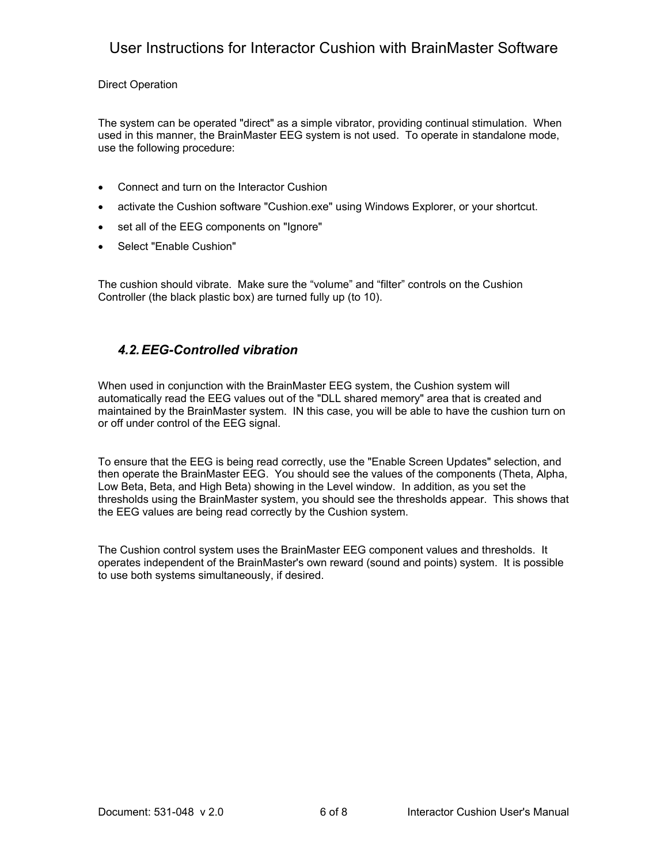#### Direct Operation

The system can be operated "direct" as a simple vibrator, providing continual stimulation. When used in this manner, the BrainMaster EEG system is not used. To operate in standalone mode, use the following procedure:

- Connect and turn on the Interactor Cushion
- activate the Cushion software "Cushion.exe" using Windows Explorer, or your shortcut.
- set all of the EEG components on "Ignore"
- Select "Enable Cushion"

The cushion should vibrate. Make sure the "volume" and "filter" controls on the Cushion Controller (the black plastic box) are turned fully up (to 10).

## *4.2. EEG-Controlled vibration*

When used in conjunction with the BrainMaster EEG system, the Cushion system will automatically read the EEG values out of the "DLL shared memory" area that is created and maintained by the BrainMaster system. IN this case, you will be able to have the cushion turn on or off under control of the EEG signal.

To ensure that the EEG is being read correctly, use the "Enable Screen Updates" selection, and then operate the BrainMaster EEG. You should see the values of the components (Theta, Alpha, Low Beta, Beta, and High Beta) showing in the Level window. In addition, as you set the thresholds using the BrainMaster system, you should see the thresholds appear. This shows that the EEG values are being read correctly by the Cushion system.

The Cushion control system uses the BrainMaster EEG component values and thresholds. It operates independent of the BrainMaster's own reward (sound and points) system. It is possible to use both systems simultaneously, if desired.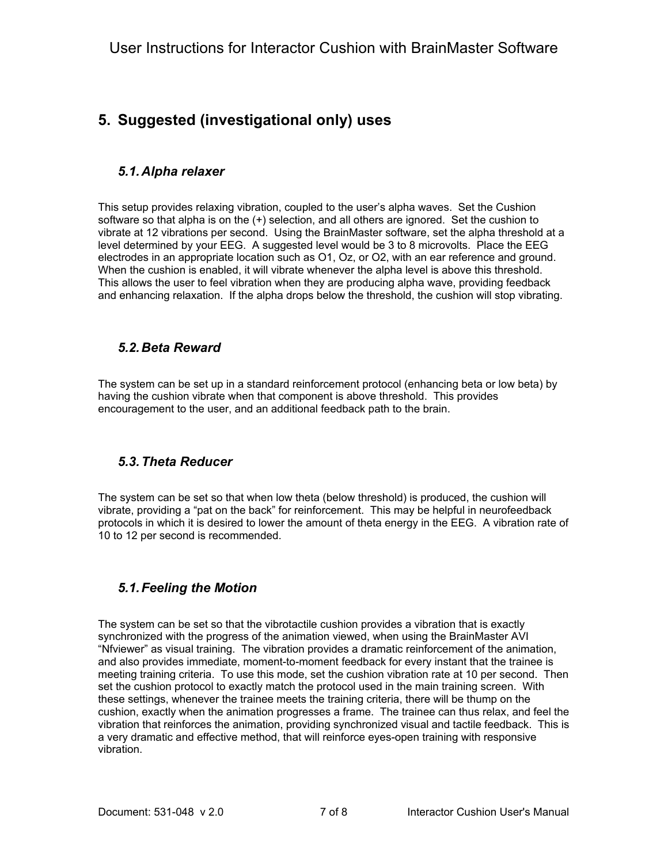# **5. Suggested (investigational only) uses**

## *5.1. Alpha relaxer*

This setup provides relaxing vibration, coupled to the user's alpha waves. Set the Cushion software so that alpha is on the (+) selection, and all others are ignored. Set the cushion to vibrate at 12 vibrations per second. Using the BrainMaster software, set the alpha threshold at a level determined by your EEG. A suggested level would be 3 to 8 microvolts. Place the EEG electrodes in an appropriate location such as O1, Oz, or O2, with an ear reference and ground. When the cushion is enabled, it will vibrate whenever the alpha level is above this threshold. This allows the user to feel vibration when they are producing alpha wave, providing feedback and enhancing relaxation. If the alpha drops below the threshold, the cushion will stop vibrating.

## *5.2. Beta Reward*

The system can be set up in a standard reinforcement protocol (enhancing beta or low beta) by having the cushion vibrate when that component is above threshold. This provides encouragement to the user, and an additional feedback path to the brain.

## *5.3. Theta Reducer*

The system can be set so that when low theta (below threshold) is produced, the cushion will vibrate, providing a "pat on the back" for reinforcement. This may be helpful in neurofeedback protocols in which it is desired to lower the amount of theta energy in the EEG. A vibration rate of 10 to 12 per second is recommended.

### *5.1. Feeling the Motion*

The system can be set so that the vibrotactile cushion provides a vibration that is exactly synchronized with the progress of the animation viewed, when using the BrainMaster AVI "Nfviewer" as visual training. The vibration provides a dramatic reinforcement of the animation, and also provides immediate, moment-to-moment feedback for every instant that the trainee is meeting training criteria. To use this mode, set the cushion vibration rate at 10 per second. Then set the cushion protocol to exactly match the protocol used in the main training screen. With these settings, whenever the trainee meets the training criteria, there will be thump on the cushion, exactly when the animation progresses a frame. The trainee can thus relax, and feel the vibration that reinforces the animation, providing synchronized visual and tactile feedback. This is a very dramatic and effective method, that will reinforce eyes-open training with responsive vibration.